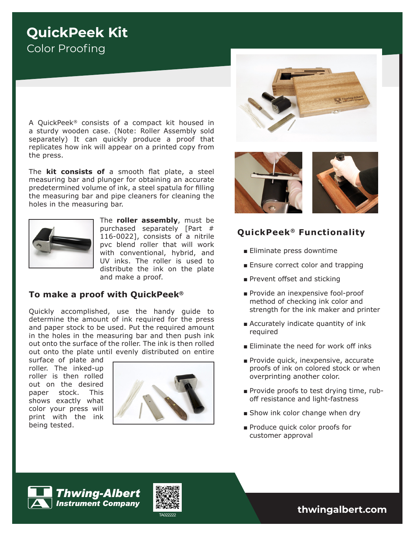# **QuickPeek Kit** Color Proofing

A QuickPeek*®* consists of a compact kit housed in a sturdy wooden case. (Note: Roller Assembly sold separately) It can quickly produce a proof that replicates how ink will appear on a printed copy from the press.

The **kit consists of** a smooth flat plate, a steel measuring bar and plunger for obtaining an accurate predetermined volume of ink, a steel spatula for filling the measuring bar and pipe cleaners for cleaning the holes in the measuring bar.



The **roller assembly**, must be purchased separately [Part # 116-0022], consists of a nitrile pvc blend roller that will work with conventional, hybrid, and UV inks. The roller is used to distribute the ink on the plate and make a proof.

### **To make a proof with QuickPeek®**

Quickly accomplished, use the handy guide to determine the amount of ink required for the press and paper stock to be used. Put the required amount in the holes in the measuring bar and then push ink out onto the surface of the roller. The ink is then rolled out onto the plate until evenly distributed on entire

surface of plate and roller. The inked-up roller is then rolled out on the desired paper stock. This shows exactly what color your press will print with the ink being tested.







### **QuickPeek® Functionality**

- Eliminate press downtime
- Ensure correct color and trapping
- Prevent offset and sticking
- Provide an inexpensive fool-proof method of checking ink color and strength for the ink maker and printer
- Accurately indicate quantity of ink required
- Eliminate the need for work off inks
- Provide quick, inexpensive, accurate proofs of ink on colored stock or when overprinting another color.
- Provide proofs to test drying time, ruboff resistance and light-fastness
- Show ink color change when dry
- Produce quick color proofs for customer approval





TA022222 **thwingalbert.com**